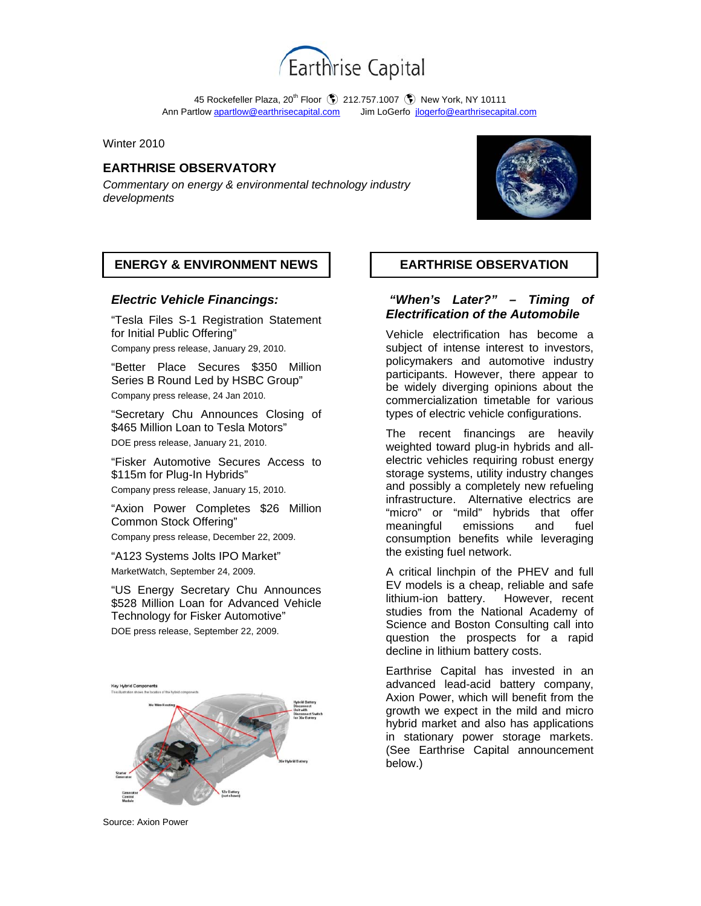

45 Rockefeller Plaza, 20<sup>th</sup> Floor (\$) 212.757.1007 (\$) New York, NY 10111 Ann Partlow apartlow@earthrisecapital.comJim LoGerfo jlogerfo@earthrisecapital.com

Winter 2010

## **EARTHRISE OBSERVATORY**

*Commentary on energy & environmental technology industry developments*



# **ENERGY & ENVIRONMENT NEWS | | EARTHRISE OBSERVATION**

### *Electric Vehicle Financings:*

"Tesla Files S-1 Registration Statement for Initial Public Offering"

Company press release, January 29, 2010.

"Better Place Secures \$350 Million Series B Round Led by HSBC Group" Company press release, 24 Jan 2010.

"Secretary Chu Announces Closing of \$465 Million Loan to Tesla Motors"

DOE press release, January 21, 2010.

"Fisker Automotive Secures Access to \$115m for Plug-In Hybrids"

Company press release, January 15, 2010.

"Axion Power Completes \$26 Million Common Stock Offering"

Company press release, December 22, 2009.

"A123 Systems Jolts IPO Market" MarketWatch, September 24, 2009.

"US Energy Secretary Chu Announces \$528 Million Loan for Advanced Vehicle Technology for Fisker Automotive" DOE press release, September 22, 2009.



# *"When's Later?" – Timing of Electrification of the Automobile*

Vehicle electrification has become a subject of intense interest to investors. policymakers and automotive industry participants. However, there appear to be widely diverging opinions about the commercialization timetable for various types of electric vehicle configurations.

The recent financings are heavily weighted toward plug-in hybrids and allelectric vehicles requiring robust energy storage systems, utility industry changes and possibly a completely new refueling infrastructure. Alternative electrics are "micro" or "mild" hybrids that offer meaningful emissions and fuel consumption benefits while leveraging the existing fuel network.

A critical linchpin of the PHEV and full EV models is a cheap, reliable and safe lithium-ion battery. However, recent studies from the National Academy of Science and Boston Consulting call into question the prospects for a rapid decline in lithium battery costs.

Earthrise Capital has invested in an advanced lead-acid battery company, Axion Power, which will benefit from the growth we expect in the mild and micro hybrid market and also has applications in stationary power storage markets. (See Earthrise Capital announcement below.)

Source: Axion Power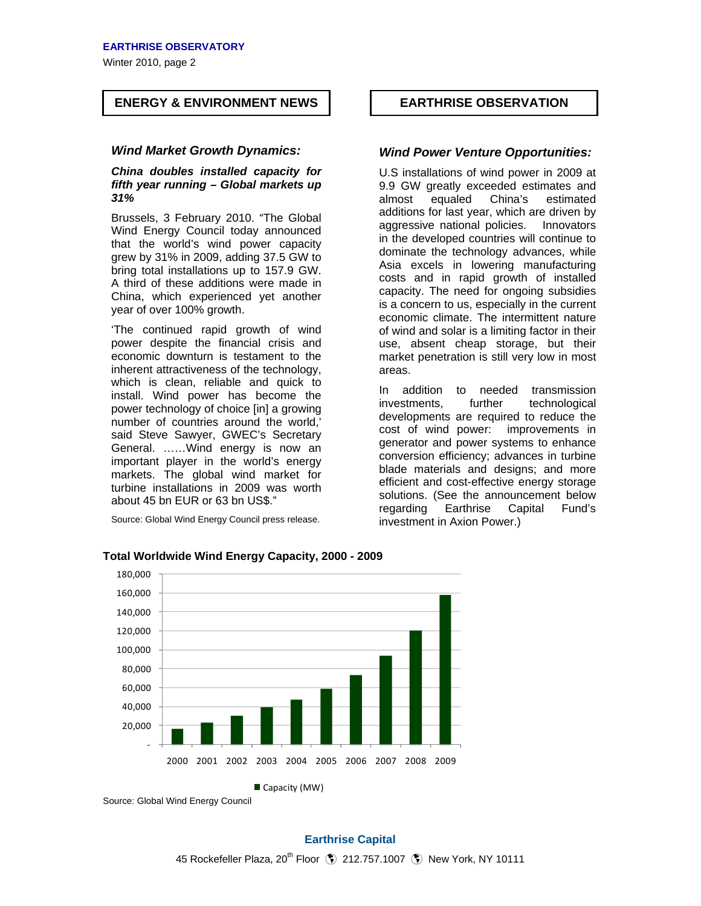Winter 2010, page 2

# **ENERGY & ENVIRONMENT NEWS EARTHRISE OBSERVATION**

## *Wind Market Growth Dynamics:*

### *China doubles installed capacity for fifth year running – Global markets up 31%*

Brussels, 3 February 2010. "The Global Wind Energy Council today announced that the world's wind power capacity grew by 31% in 2009, adding 37.5 GW to bring total installations up to 157.9 GW. A third of these additions were made in China, which experienced yet another year of over 100% growth.

, thoug turbine installations in 2009 was worth 'The continued rapid growth of wind power despite the financial crisis and economic downturn is testament to the inherent attractiveness of the technology, which is clean, reliable and quick to install. Wind power has become the power technology of choice [in] a growing number of countries around the world,' said Steve Sawyer, GWEC's Secretary General. ……Wind energy is now an important player in the world's energy markets. The global wind market for about 45 bn EUR or 63 bn US\$."

Source: Global Wind Energy Council press release.

# *Wind Power Venture Opportunities:*

U.S installations of wind power in 2009 at 9.9 GW greatly exceeded estimates and almost equaled China's estimated additions for last year, which are driven by aggressive national policies. Innovators in the developed countries will continue to dominate the technology advances, while Asia excels in lowering manufacturing costs and in rapid growth of installed capacity. The need for ongoing subsidies is a concern to us, especially in the current economic climate. The intermittent nature of wind and solar is a limiting factor in their use, absent cheap storage, but their market penetration is still very low in most areas.

In addition to needed transmission investments, further technological developments are required to reduce the cost of wind power: improvements in generator and power systems to enhance conversion efficiency; advances in turbine blade materials and designs; and more efficient and cost-effective energy storage solutions. (See the announcement below regarding Earthrise Capital Fund's investment in Axion Power.)





Source: Global Wind Energy Council

# **Earthrise Capital**  45 Rockefeller Plaza, 20<sup>th</sup> Floor (\$) 212.757.1007 (\$) New York, NY 10111